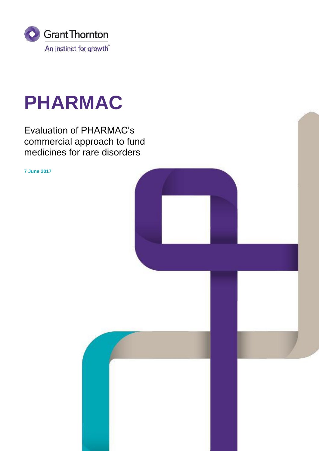

# **PHARMAC**

Evaluation of PHARMAC's commercial approach to fund medicines for rare disorders

**7 June 2017**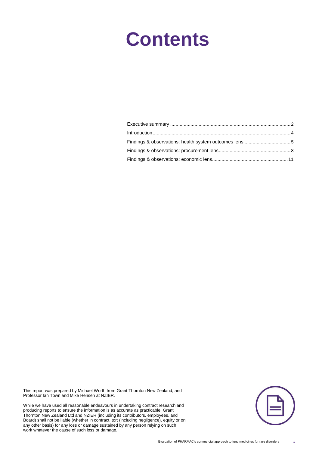# **Contents**

This report was prepared by Michael Worth from Grant Thornton New Zealand, and Professor Ian Town and Mike Hensen at NZIER.

While we have used all reasonable endeavours in undertaking contract research and producing reports to ensure the information is as accurate as practicable, Grant Thornton New Zealand Ltd and NZIER (including its contributors, employees, and Board) shall not be liable (whether in contract, tort (including negligence), equity or on any other basis) for any loss or damage sustained by any person relying on such work whatever the cause of such loss or damage.

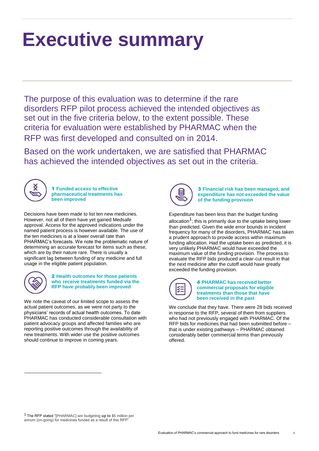# <span id="page-2-0"></span>**Executive summary**

The purpose of this evaluation was to determine if the rare disorders RFP pilot process achieved the intended objectives as set out in the five criteria below, to the extent possible. These criteria for evaluation were established by PHARMAC when the RFP was first developed and consulted on in 2014.

Based on the work undertaken, we are satisfied that PHARMAC has achieved the intended objectives as set out in the criteria.



1 **Funded access to effective pharmaceutical treatments has been improved**

Decisions have been made to list ten new medicines. However, not all of them have yet gained Medsafe approval. Access for the approved indications under the named patient process is however available. The use of the ten medicines is at a lower overall rate than PHARMAC's forecasts. We note the problematic nature of determining an accurate forecast for items such as these, which are by their nature rare. There is usually a significant lag between funding of any medicine and full usage in the eligible patient population.



2 **Health outcomes for those patients who receive treatments funded via the RFP have probably been improved**

We note the caveat of our limited scope to assess the actual patient outcomes, as we were not party to the physicians' records of actual health outcomes. To date PHARMAC has conducted considerable consultation with patient advocacy groups and affected families who are reporting positive outcomes through the availability of new treatments. With wider use the positive outcomes should continue to improve in coming years.



3 **Financial risk has been managed, and expenditure has not exceeded the value of the funding provision**

Expenditure has been less than the budget funding allocation<sup>1</sup>; this is primarily due to the uptake being lower than predicted. Given the wide error bounds in incident frequency for many of the disorders, PHARMAC has taken a prudent approach to provide access within maximum funding allocation. Had the uptake been as predicted, it is very unlikely PHARMAC would have exceeded the maximum value of the funding provision. The process to evaluate the RFP bids produced a clear-cut result in that the next medicine after the cutoff would have greatly exceeded the funding provision.



### 4 **PHARMAC has received better commercial proposals for eligible treatments than those that have been received in the past**

We conclude that they have. There were 28 bids received in response to the RFP, several of them from suppliers who had not previously engaged with PHARMAC. Of the RFP bids for medicines that had been submitted before – that is under existing pathways – PHARMAC obtained considerably better commercial terms than previously offered.

<sup>1</sup> The RFP stated "[PHARMAC] are budgeting **up to** \$5 million per annum (on-going) for medicines funded as a result of this RFF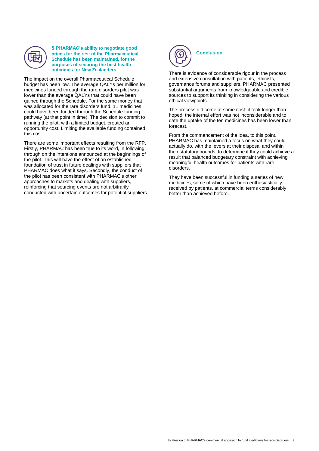

5 **PHARMAC's ability to negotiate good prices for the rest of the Pharmaceutical Schedule has been maintained, for the purposes of securing the best health outcomes for New Zealanders**

The impact on the overall Pharmaceutical Schedule budget has been low. The average QALYs per million for medicines funded through the rare disorders pilot was lower than the average QALYs that could have been gained through the Schedule. For the same money that was allocated for the rare disorders fund, 11 medicines could have been funded through the Schedule funding pathway (at that point in time). The decision to commit to running the pilot, with a limited budget, created an opportunity cost. Limiting the available funding contained this cost.

There are some important effects resulting from the RFP. Firstly, PHARMAC has been true to its word, in following through on the intentions announced at the beginnings of the pilot. This will have the effect of an established foundation of trust in future dealings with suppliers that PHARMAC does what it says. Secondly, the conduct of the pilot has been consistent with PHARMAC's other approaches to markets and dealing with suppliers, reinforcing that sourcing events are not arbitrarily conducted with uncertain outcomes for potential suppliers.



There is evidence of considerable rigour in the process and extensive consultation with patients, ethicists, governance forums and suppliers. PHARMAC presented substantial arguments from knowledgeable and credible sources to support its thinking in considering the various ethical viewpoints.

The process did come at some cost: it took longer than hoped, the internal effort was not inconsiderable and to date the uptake of the ten medicines has been lower than forecast.

From the commencement of the idea, to this point, PHARMAC has maintained a focus on what they could actually do, with the levers at their disposal and within their statutory bounds, to determine if they could achieve a result that balanced budgetary constraint with achieving meaningful health outcomes for patients with rare disorders.

They have been successful in funding a series of new medicines, some of which have been enthusiastically received by patients, at commercial terms considerably better than achieved before.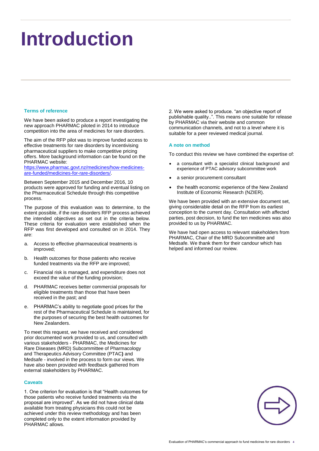# <span id="page-4-0"></span>**Introduction**

### **Terms of reference**

We have been asked to produce a report investigating the new approach PHARMAC piloted in 2014 to introduce competition into the area of medicines for rare disorders.

The aim of the RFP pilot was to improve funded access to effective treatments for rare disorders by incentivising pharmaceutical suppliers to make competitive pricing offers. More background information can be found on the PHARMAC website:

[https://www.pharmac.govt.nz/medicines/how-medicines](https://www.pharmac.govt.nz/medicines/how-medicines-are-funded/medicines-for-rare-disorders/)[are-funded/medicines-for-rare-disorders/.](https://www.pharmac.govt.nz/medicines/how-medicines-are-funded/medicines-for-rare-disorders/)

Between September 2015 and December 2016, 10 products were approved for funding and eventual listing on the Pharmaceutical Schedule through this competitive process.

The purpose of this evaluation was to determine, to the extent possible, if the rare disorders RFP process achieved the intended objectives as set out in the criteria below. These criteria for evaluation were established when the RFP was first developed and consulted on in 2014. They are:

- a. Access to effective pharmaceutical treatments is improved;
- b. Health outcomes for those patients who receive funded treatments via the RFP are improved;
- c. Financial risk is managed, and expenditure does not exceed the value of the funding provision;
- d. PHARMAC receives better commercial proposals for eligible treatments than those that have been received in the past; and
- e. PHARMAC's ability to negotiate good prices for the rest of the Pharmaceutical Schedule is maintained, for the purposes of securing the best health outcomes for New Zealanders.

To meet this request, we have received and considered prior documented work provided to us, and consulted with various stakeholders - PHARMAC, the Medicines for Rare Diseases (MRD) Subcommittee of Pharmacology and Therapeutics Advisory Committee (PTAC**)** and Medsafe - involved in the process to form our views. We have also been provided with feedback gathered from external stakeholders by PHARMAC.

### **Caveats**

1. One criterion for evaluation is that "Health outcomes for those patients who receive funded treatments via the proposal are improved". As we did not have clinical data available from treating physicians this could not be achieved under this review methodology and has been completed only to the extent information provided by PHARMAC allows.

2. We were asked to produce. "an objective report of publishable quality..". This means one suitable for release by PHARMAC via their website and common communication channels, and not to a level where it is suitable for a peer reviewed medical journal.

### **A note on method**

To conduct this review we have combined the expertise of:

- a consultant with a specialist clinical background and experience of PTAC advisory subcommittee work
- a senior procurement consultant
- the health economic experience of the New Zealand Institute of Economic Research (NZIER).

We have been provided with an extensive document set, giving considerable detail on the RFP from its earliest conception to the current day. Consultation with affected parties, post decision, to fund the ten medicines was also provided to us by PHARMAC.

We have had open access to relevant stakeholders from PHARMAC, Chair of the MRD Subcommittee and Medsafe. We thank them for their candour which has helped and informed our review.

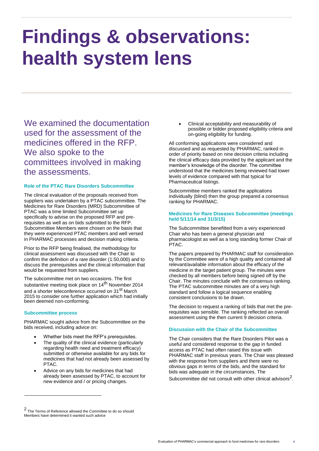# <span id="page-5-0"></span>**Findings & observations: health system lens**

We examined the documentation used for the assessment of the medicines offered in the RFP. We also spoke to the committees involved in making the assessments.

### **Role of the PTAC Rare Disorders Subcommittee**

The clinical evaluation of the proposals received from suppliers was undertaken by a PTAC subcommittee. The Medicines for Rare Disorders (MRD) Subcommittee of PTAC was a time limited Subcommittee set up specifically to advise on the proposed RFP and prerequisites as well as on bids submitted to the RFP. Subcommittee Members were chosen on the basis that they were experienced PTAC members and well versed in PHARMAC processes and decision making criteria.

Prior to the RFP being finalised, the methodology for clinical assessment was discussed with the Chair to confirm the definition of a rare disorder (1:50,000) and to discuss the prerequisites and the clinical information that would be requested from suppliers.

The subcommittee met on two occasions. The first substantive meeting took place on 14<sup>th</sup> November 2014 and a shorter teleconference occurred on 31<sup>st</sup> March 2015 to consider one further application which had initially been deemed non-conforming.

### **Subcommittee process**

PHARMAC sought advice from the Subcommittee on the bids received, including advice on:

- Whether bids meet the RFP's prerequisites.
- The quality of the clinical evidence (particularly regarding health need and treatment efficacy) submitted or otherwise available for any bids for medicines that had not already been assessed by PTAC.
- Advice on any bids for medicines that had already been assessed by PTAC, to account for new evidence and / or pricing changes.
- 2 The Terms of Reference allowed the Committee to do so should
- Members have determined it wanted such advice

 Clinical acceptability and measurability of possible or bidder proposed eligibility criteria and on-going eligibility for funding.

All conforming applications were considered and discussed and as requested by PHARMAC, ranked in order of priority based on nine decision criteria including the clinical efficacy data provided by the applicant and the member's knowledge of the disorder. The committee understood that the medicines being reviewed had lower levels of evidence compared with that typical for Pharmaceutical listings.

Subcommittee members ranked the applications individually (blind) then the group prepared a consensus ranking for PHARMAC.

### **Medicines for Rare Diseases Subcommittee (meetings held 5/11/14 and 31/3/15)**

The Subcommittee benefitted from a very experienced Chair who has been a general physician and pharmacologist as well as a long standing former Chair of PTAC.

The papers prepared by PHARMAC staff for consideration by the Committee were of a high quality and contained all relevant/available information about the efficacy of the medicine in the target patient group. The minutes were checked by all members before being signed off by the Chair. The minutes conclude with the consensus ranking. The PTAC subcommittee minutes are of a very high standard and follow a logical sequence enabling consistent conclusions to be drawn.

The decision to request a ranking of bids that met the prerequisites was sensible. The ranking reflected an overall assessment using the then current 9 decision criteria.

### **Discussion with the Chair of the Subcommittee**

The Chair considers that the Rare Disorders Pilot was a useful and considered response to the gap in funded access as PTAC had often raised this issue with PHARMAC staff in previous years. The Chair was pleased with the response from suppliers and there were no obvious gaps in terms of the bids, and the standard for bids was adequate in the circumstances. The Subcommittee did not consult with other clinical advisors $^2$ .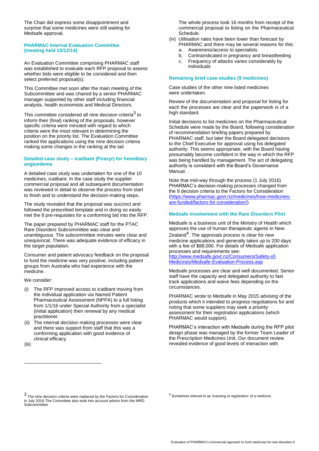The Chair did express some disappointment and surprise that some medicines were still waiting for Medsafe approval.

### **PHARMAC Internal Evaluation Committee (meeting held 15/12/14)**

An Evaluation Committee comprising PHARMAC staff was established to evaluate each RFP proposal to assess whether bids were eligible to be considered and then select preferred proposal(s).

This Committee met soon after the main meeting of the Subcommittee and was chaired by a senior PHARMAC manager supported by other staff including financial analysts, health economists and Medical Directors.

This committee considered all nine decision criteria<sup>3</sup> to inform their (final) ranking of the proposals, however specific criteria were minuted with regard to which criteria were the most relevant in determining the position on the priority list. The Evaluation Committee ranked the applications using the nine decision criteria making some changes in the ranking at the tail.

### **Detailed case study – icatibant (Firazyr) for hereditary angioedema**

A detailed case study was undertaken for one of the 10 medicines, icatibant. In the case study the supplier commercial proposal and all subsequent documentation was reviewed in detail to observe the process from start to finish and to understand the decision-making steps.

The study revealed that the proposal was succinct and followed the prescribed template and in doing so easily met the 8 pre-requisites for a conforming bid into the RFP.

The paper prepared by PHARMAC staff for the PTAC Rare Disorders Subcommittee was clear and unambiguous. The subcommittee minutes were clear and unequivocal. There was adequate evidence of efficacy in the target population.

Consumer and patient advocacy feedback on the proposal to fund the medicine was very positive, including patient groups from Australia who had experience with the medicine.

We consider:

(i) The RFP improved access to icatibant moving from the individual application via Named Patient Pharmaceutical Assessment (NPPA) to a full listing from 1/1/16 under Special Authority from a specialist (initial application) then renewal by any medical practitioner.

(ii) The internal decision making processes were clear and there was support from staff that this was a conforming application with good evidence of clinical efficacy.

(iii)

The whole process took 16 months from receipt of the commercial proposal to listing on the Pharmaceutical Schedule.

(iv) Utilisation rates have been lower than forecast by

- PHARMAC and there may be several reasons for this: a. Awareness/access to specialists
- b. Contraindicated in pregnancy and breastfeeding
- c. Frequency of attacks varies considerably by individuals

### **Remaining brief case-studies (9 medicines)**

Case studies of the other nine listed medicines were undertaken.

Review of the documentation and proposal for listing for each the processes are clear and the paperwork is of a high standard.

Initial decisions to list medicines on the Pharmaceutical Schedule were made by the Board, following consideration of recommendation briefing papers prepared by PHARMAC staff, but later the Board delegated decisions to the Chief Executive for approval using his delegated authority. This seems appropriate, with the Board having presumably become confident in the way in which the RFP was being handled by management. The act of delegating authority is consistent with the Board's Governance Manual.

Note that mid-way through the process (1 July 2016) PHARMAC's decision-making processes changed from the 9 decision criteria to the Factors for Consideration [\(https://www.pharmac.govt.nz/medicines/how-medicines](https://www.pharmac.govt.nz/medicines/how-medicines-are-funded/factors-for-consideration/)[are-funded/factors-for-consideration/\).](https://www.pharmac.govt.nz/medicines/how-medicines-are-funded/factors-for-consideration/)

### **Medsafe involvement with the Rare Disorders Pilot**

Medsafe is a business unit of the Ministry of Health which approves the use of human therapeutic agents in New Zealand $^4$ . The approvals process is clear for new medicine applications and generally takes up to 200 days with a fee of \$88,000. For details of Medsafe application processes and requirements see: [http://www.medsafe.govt.nz/Consumers/Safety-of-](http://www.medsafe.govt.nz/Consumers/Safety-of-Medicines/Medsafe-Evaluation-Process.asp)

[Medicines/Medsafe-Evaluation-Process.asp](http://www.medsafe.govt.nz/Consumers/Safety-of-Medicines/Medsafe-Evaluation-Process.asp)

Medsafe processes are clear and well documented. Senior staff have the capacity and delegated authority to fast track applications and waive fees depending on the circumstances.

PHARMAC wrote to Medsafe in May 2015 advising of the products which it intended to progress negotiations for and noting that some suppliers may seek a prioirity assessment for their registration applications (which PHARMAC would support).

PHARMAC's interaction with Medsafe during the RFP pilot design phase was managed by the former Team Leader of the Prescription Medicines Unit. Our document review revealed evidence of good levels of interaction with

 $<sup>4</sup>$  Sometimes referred to as 'licensing or registration' of a medicine.</sup>

<sup>3</sup> The nine decision criteria were replaced by the Factors for Consideration in July 2016.The Committee also took into account advice from the MRD **Subcommittee**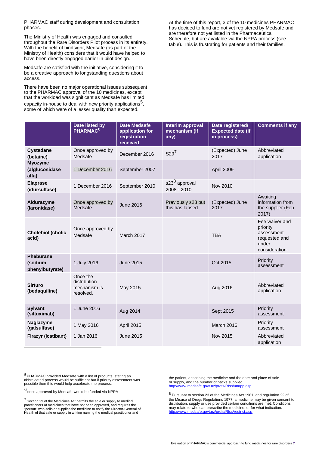PHARMAC staff during development and consultation phases.

The Ministry of Health was engaged and consulted throughout the Rare Disorders Pilot process in its entirety. With the benefit of hindsight, Medsafe (as part of the Ministry of Health) considers that it would have helped to have been directly engaged earlier in pilot design.

Medsafe are satisfied with the initiative, considering it to be a creative approach to longstanding questions about access.

There have been no major operational issues subsequent to the PHARMAC approval of the 10 medicines, except that the workload was significant as Medsafe has limited capacity in-house to deal with new priority applications<sup>5</sup>, some of which were of a lesser quality than expected.

At the time of this report, 3 of the 10 medicines PHARMAC has decided to fund are not yet registered by Medsafe and are therefore not yet listed in the Pharmaceutical Schedule, but are available via the NPPA process (see table). This is frustrating for patients and their families.

|                                                | Date listed by<br>PHARMAC <sup>6</sup>                | <b>Date Medsafe</b><br>application for<br>registration<br>received | Interim approval<br>mechanism (if<br>any) | Date registered/<br><b>Expected date (if</b><br>in process) | <b>Comments if any</b>                                                               |
|------------------------------------------------|-------------------------------------------------------|--------------------------------------------------------------------|-------------------------------------------|-------------------------------------------------------------|--------------------------------------------------------------------------------------|
| <b>Cystadane</b><br>(betaine)                  | Once approved by<br>Medsafe                           | December 2016                                                      | S29 <sup>7</sup>                          | (Expected) June<br>2017                                     | Abbreviated<br>application                                                           |
| <b>Myozyme</b><br>(alglucosidase<br>alfa)      | 1 December 2016                                       | September 2007                                                     |                                           | April 2009                                                  |                                                                                      |
| <b>Elaprase</b><br>(idursulfase)               | 1 December 2016                                       | September 2010                                                     | s23 <sup>8</sup> approval<br>2008 - 2010  | <b>Nov 2010</b>                                             |                                                                                      |
| Aldurazyme<br>(laronidase)                     | Once approved by<br>Medsafe                           | <b>June 2016</b>                                                   | Previously s23 but<br>this has lapsed     | (Expected) June<br>2017                                     | Awaiting<br>information from<br>the supplier (Feb<br>2017)                           |
| <b>Cholebiol (cholic</b><br>acid)              | Once approved by<br>Medsafe                           | March 2017                                                         |                                           | <b>TBA</b>                                                  | Fee waiver and<br>priority<br>assessment<br>requested and<br>under<br>consideration. |
| <b>Pheburane</b><br>(sodium<br>phenylbutyrate) | 1 July 2016                                           | June 2015                                                          |                                           | Oct 2015                                                    | Priority<br>assessment                                                               |
| <b>Sirturo</b><br>(bedaquiline)                | Once the<br>distribution<br>mechanism is<br>resolved. | May 2015                                                           |                                           | Aug 2016                                                    | Abbreviated<br>application                                                           |
| <b>Sylvant</b><br>(siltuximab)                 | 1 June 2016                                           | Aug 2014                                                           |                                           | Sept 2015                                                   | Priority<br>assessment                                                               |
| Naglazyme<br>(galsulfase)                      | 1 May 2016                                            | April 2015                                                         |                                           | <b>March 2016</b>                                           | Priority<br>assessment                                                               |
| Firazyr (icatibant)                            | 1 Jan 2016                                            | June 2015                                                          |                                           | Nov 2015                                                    | Abbreviated<br>application                                                           |

<sup>5</sup> PHARMAC provided Medsafe with a list of products, stating an<br>abbreviated process would be sufficient but if priority assessment was<br>possible then this would help accelerate the process.

6 once approved by Medsafe would be funded via NPPA

 $7$  Section 29 of the Medicines Act permits the sale or supply to medical practitioners of medicines that have not been approved, and requires the "person" who sells or supplies the medicine to notify the Director-General of Health of that sale or supply in writing naming the medical practitioner and

the patient, describing the medicine and the date and place of sale or supply, and the number of packs supplied. <http://www.medsafe.govt.nz/profs/RIss/unapp.asp>

<sup>8</sup> Pursuant to section 23 of the Medicines Act 1981, and regulation 22 of the Misuse of Drugs Regulations 1977, a medicine may be given consent to distribution, supply or use provided certain conditions are met. Conditions may relate to who can prescribe the medicine, or for what indication. http://www.medsafe.govt.nz/profs/RIss/restrict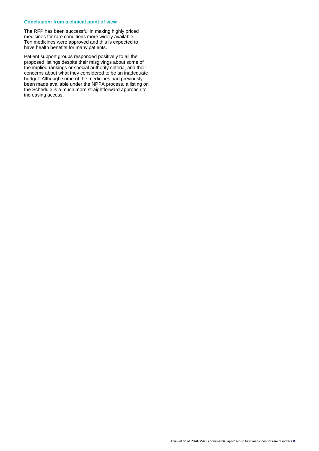### **Conclusion: from a clinical point of view**

The RFP has been successful in making highly priced medicines for rare conditions more widely available. Ten medicines were approved and this is expected to have health benefits for many patients.

Patient support groups responded positively to all the proposed listings despite their misgivings about some of the implied rankings or special authority criteria, and their concerns about what they considered to be an inadequate budget. Although some of the medicines had previously been made available under the NPPA process, a listing on the Schedule is a much more straightforward approach to increasing access.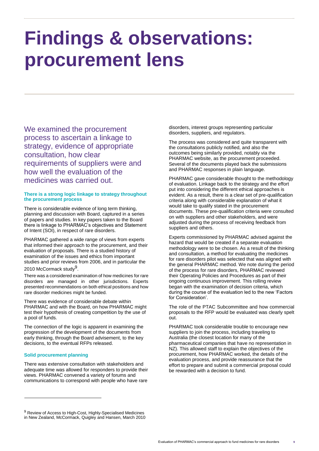## <span id="page-9-0"></span>**Findings & observations: procurement lens**

We examined the procurement process to ascertain a linkage to strategy, evidence of appropriate consultation, how clear requirements of suppliers were and how well the evaluation of the medicines was carried out.

### **There is a strong logic linkage to strategy throughout the procurement process**

There is considerable evidence of long term thinking, planning and discussion with Board, captured in a series of papers and studies. In key papers taken to the Board there is linkage to PHARMAC's objectives and Statement of Intent (SOI), in respect of rare disorders.

PHARMAC gathered a wide range of views from experts that informed their approach to the procurement, and their evaluation of proposals. There is a studied history of examination of the issues and ethics from important studies and prior reviews from 2006, and in particular the 2010 McCormack study<sup>9</sup>.

There was a considered examination of how medicines for rare disorders are managed in other jurisdictions. Experts presented recommendations on both ethical positions and how rare disorder medicines might be funded.

There was evidence of considerable debate within PHARMAC and with the Board, on how PHARMAC might test their hypothesis of creating competition by the use of a pool of funds.

The connection of the logic is apparent in examining the progression of the development of the documents from early thinking, through the Board advisement, to the key decisions, to the eventual RFPs released.

### **Solid procurement planning**

There was extensive consultation with stakeholders and adequate time was allowed for responders to provide their views. PHARMAC convened a variety of forums and communications to correspond with people who have rare

9 Review of Access to High-Cost, Highly-Specialised Medicines in New Zealand, McCormack, Quigley and Hansen, March 2010

disorders, interest groups representing particular disorders, suppliers, and regulators.

The process was considered and quite transparent with the consultations publicly notified, and also the outcomes being similarly provided, notably via the PHARMAC website, as the procurement proceeded. Several of the documents played back the submissions and PHARMAC responses in plain language.

PHARMAC gave considerable thought to the methodology of evaluation. Linkage back to the strategy and the effort put into considering the different ethical approaches is evident. As a result, there is a clear set of pre-qualification criteria along with considerable explanation of what it would take to qualify stated in the procurement documents. These pre-qualification criteria were consulted on with suppliers and other stakeholders, and were adjusted during the process of receiving feedback from suppliers and others.

Experts commissioned by PHARMAC advised against the hazard that would be created if a separate evaluation methodology were to be chosen. As a result of the thinking and consultation, a method for evaluating the medicines for rare disorders pilot was selected that was aligned with the general PHARMAC method. We note during the period of the process for rare disorders, PHARMAC reviewed their Operating Policies and Procedures as part of their ongoing continuous improvement. This rolling review began with the examination of decision criteria, which during the course of the evaluation led to the new 'Factors for Consideration'.

The role of the PTAC Subcommittee and how commercial proposals to the RFP would be evaluated was clearly spelt out.

PHARMAC took considerable trouble to encourage new suppliers to join the process, including traveling to Australia (the closest location for many of the pharmaceutical companies that have no representation in NZ). This allowed staff to explain the objectives of the procurement, how PHARMAC worked, the details of the evaluation process, and provide reassurance that the effort to prepare and submit a commercial proposal could be rewarded with a decision to fund.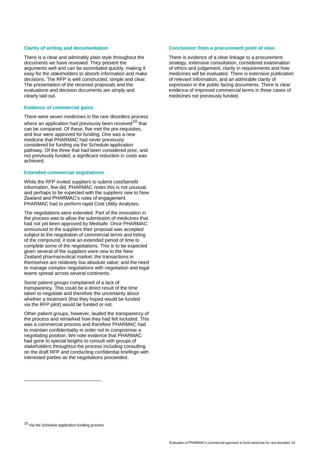### **Clarity of writing and documentation**

There is a clear and admirably plain style throughout the documents we have reviewed. They present the arguments well and can be assimilated quickly, making it easy for the stakeholders to absorb information and make decisions. The RFP is well constructed, simple and clear. The presentation of the received proposals and the evaluations and decision documents are simply and clearly laid out.

#### **Evidence of commercial gains**

There were seven medicines in the rare disorders process where an application had previously been received<sup>10</sup> that can be compared. Of these, five met the pre-requisites, and four were approved for funding. One was a new medicine that PHARMAC had never previously considered for funding via the Schedule application pathway. Of the three that had been considered prior, and not previously funded, a significant reduction in costs was achieved.

### **Extended commercial negotiations**

While the RFP invited suppliers to submit cost/benefit information, few did. PHARMAC notes this is not unusual, and perhaps to be expected with the suppliers new to New Zealand and PHARMAC's rules of engagement. PHARMAC had to perform rapid Cost Utility Analyses.

The negotiations were extended. Part of the innovation in the process was to allow the submission of medicines that had not yet been approved by Medsafe. Once PHARMAC announced to the suppliers their proposal was accepted subject to the negotiation of commercial terms and listing of the compound, it took an extended period of time to complete some of the negotiations. This is to be expected given several of the suppliers were new to the New Zealand pharmaceutical market; the transactions in themselves are relatively low absolute value; and the need to manage complex negotiations with negotiation and legal teams spread across several continents.

Some patient groups complained of a lack of transparency. This could be a direct result of the time taken to negotiate and therefore the uncertainty about whether a treatment (that they hoped would be funded via the RFP pilot) would be funded or not.

Other patient groups, however, lauded the transparency of the process and remarked how they had felt included. This was a commercial process and therefore PHARMAC had to maintain confidentiality in order not to compromise a negotiating position. We note evidence that PHARMAC had gone to special lengths to consult with groups of stakeholders throughout the process including consulting on the draft RFP and conducting confidential briefings with interested parties as the negotiations proceeded.

### **Conclusion: from a procurement point of view**

There is evidence of a clear linkage to a procurement strategy, extensive consultation, considered examination of ethics and judgement, clarity in requirements and how medicines will be evaluated. There is extensive publication of relevant information, and an admirable clarity of expression in the public facing documents. There is clear evidence of improved commercial terms in three cases of medicines not previously funded.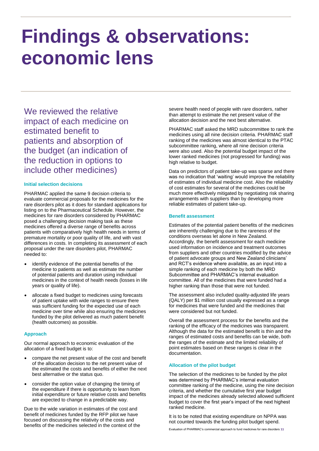## <span id="page-11-0"></span>**Findings & observations: economic lens**

We reviewed the relative impact of each medicine on estimated benefit to patients and absorption of the budget (an indication of the reduction in options to include other medicines)

### **Initial selection decisions**

PHARMAC applied the same 9 decision criteria to evaluate commercial proposals for the medicines for the rare disorders pilot as it does for standard applications for listing on to the Pharmaceutical Schedule. However, the medicines for rare disorders considered by PHARMAC posed a challenging decision making task as these medicines offered a diverse range of benefits across patients with comparatively high health needs in terms of premature mortality or poor quality of life, and with vast differences in costs. In completing its assessment of each proposal under the rare disorders pilot, PHARMAC needed to:

- identify evidence of the potential benefits of the medicine to patients as well as estimate the number of potential patients and duration using individual medicines in the context of health needs (losses in life years or quality of life).
- allocate a fixed budget to medicines using forecasts of patient uptake with wide ranges to ensure there was sufficient funding for the expected use of each medicine over time while also ensuring the medicines funded by the pilot delivered as much patient benefit (health outcomes) as possible.

### **Approach**

Our normal approach to economic evaluation of the allocation of a fixed budget is to:

- compare the net present value of the cost and benefit of the allocation decision to the net present value of the estimated the costs and benefits of either the next best alternative or the status quo.
- consider the option value of changing the timing of the expenditure if there is opportunity to learn from initial expenditure or future relative costs and benefits are expected to change in a predictable way.

Due to the wide variation in estimates of the cost and benefit of medicines funded by the RFP pilot we have focused on discussing the relativity of the costs and benefits of the medicines selected in the context of the severe health need of people with rare disorders, rather than attempt to estimate the net present value of the allocation decision and the next best alternative.

PHARMAC staff asked the MRD subcommittee to rank the medicines using all nine decision criteria. PHARMAC staff ranking of the medicines was almost identical to the PTAC subcommittee ranking, where all nine decision criteria were also used. Also the potential budget impact of the lower ranked medicines (not progressed for funding) was high relative to budget.

Data on predictors of patient take-up was sparse and there was no indication that 'waiting' would improve the reliability of estimates of individual medicine cost. Also the reliability of cost estimates for several of the medicines could be much more effectively mitigated by negotiating risk sharing arrangements with suppliers than by developing more reliable estimates of patient take-up.

### **Benefit assessment**

Estimates of the potential patient benefits of the medicines are inherently challenging due to the rareness of the conditions overseas let alone in New Zealand. Accordingly, the benefit assessment for each medicine used information on incidence and treatment outcomes from suppliers and other countries modified by the advice of patient advocate groups and New Zealand clinicians' and RCT's evidence where available, as an input into a simple ranking of each medicine by both the MRD Subcommittee and PHARMAC's internal evaluation committee. All of the medicines that were funded had a higher ranking than those that were not funded.

The assessment also included quality-adjusted life years (QALY) per \$1 million cost usually expressed as a range for medicines that were funded and the medicines that were considered but not funded.

Overall the assessment process for the benefits and the ranking of the efficacy of the medicines was transparent. Although the data for the estimated benefit is thin and the ranges of estimated costs and benefits can be wide, both the ranges of the estimate and the limited reliability of point estimates based on these ranges is clear in the documentation.

### **Allocation of the pilot budget**

The selection of the medicines to be funded by the pilot was determined by PHARMAC's internal evaluation committee ranking of the medicine, using the nine decision criteria, and whether the cumulative first year budget impact of the medicines already selected allowed sufficient budget to cover the first year's impact of the next highest ranked medicine.

It is to be noted that existing expenditure on NPPA was not counted towards the funding pilot budget spend.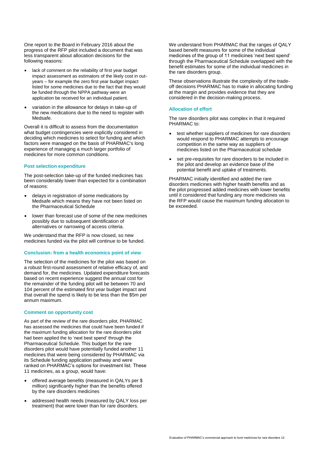One report to the Board in February 2016 about the progress of the RFP pilot included a document that was less transparent about allocation decisions for the following reasons:

- lack of comment on the reliability of first year budget impact assessment as estimators of the likely cost in outyears – for example the zero first year budget impact listed for some medicines due to the fact that they would be funded through the NPPA pathway were an application be received for an individual patient.
- variation in the allowance for delays in take-up of the new medications due to the need to register with Medsafe.

Overall it is difficult to assess from the documentation what budget contingencies were explicitly considered in deciding which medicines to select for funding and which factors were managed on the basis of PHARMAC's long experience of managing a much larger portfolio of medicines for more common conditions.

### **Post selection expenditure**

The post-selection take-up of the funded medicines has been considerably lower than expected for a combination of reasons:

- delays in registration of some medications by Medsafe which means they have not been listed on the Pharmaceutical Schedule
- lower than forecast use of some of the new medicines possibly due to subsequent identification of alternatives or narrowing of access criteria.

We understand that the RFP is now closed, so new medicines funded via the pilot will continue to be funded.

### **Conclusion: from a health economics point of view**

The selection of the medicines for the pilot was based on a robust first-round assessment of relative efficacy of, and demand for, the medicines. Updated expenditure forecasts based on recent experience suggest the annual cost for the remainder of the funding pilot will be between 70 and 104 percent of the estimated first year budget impact and that overall the spend is likely to be less than the \$5m per annum maximum.

### **Comment on opportunity cost**

As part of the review of the rare disorders pilot, PHARMAC has assessed the medicines that could have been funded if the maximum funding allocation for the rare disorders pilot had been applied the to 'next best spend' through the Pharmaceutical Schedule. This budget for the rare disorders pilot would have potentially funded another 11 medicines that were being considered by PHARMAC via its Schedule funding application pathway and were ranked on PHARMAC's options for investment list. These 11 medicines, as a group, would have:

- offered average benefits (measured in QALYs per \$ million) significantly higher than the benefits offered by the rare disorders medicines
- addressed health needs (measured by QALY loss per treatment) that were lower than for rare disorders.

We understand from PHARMAC that the ranges of QALY based benefit measures for some of the individual medicines of the group of 11 medicines 'next best spend' through the Pharmaceutical Schedule overlapped with the benefit estimates for some of the individual medicines in the rare disorders group.

These observations illustrate the complexity of the tradeoff decisions PHARMAC has to make in allocating funding at the margin and provides evidence that they are considered in the decision-making process.

### **Allocation of effort**

The rare disorders pilot was complex in that it required PHARMAC to:

- test whether suppliers of medicines for rare disorders would respond to PHARMAC attempts to encourage competition in the same way as suppliers of medicines listed on the Pharmaceutical schedule
- set pre-requisites for rare disorders to be included in the pilot and develop an evidence base of the potential benefit and uptake of treatments.

PHARMAC initially identified and added the rare disorders medicines with higher health benefits and as the pilot progressed added medicines with lower benefits until it considered that funding any more medicines via the RFP would cause the maximum funding allocation to be exceeded.